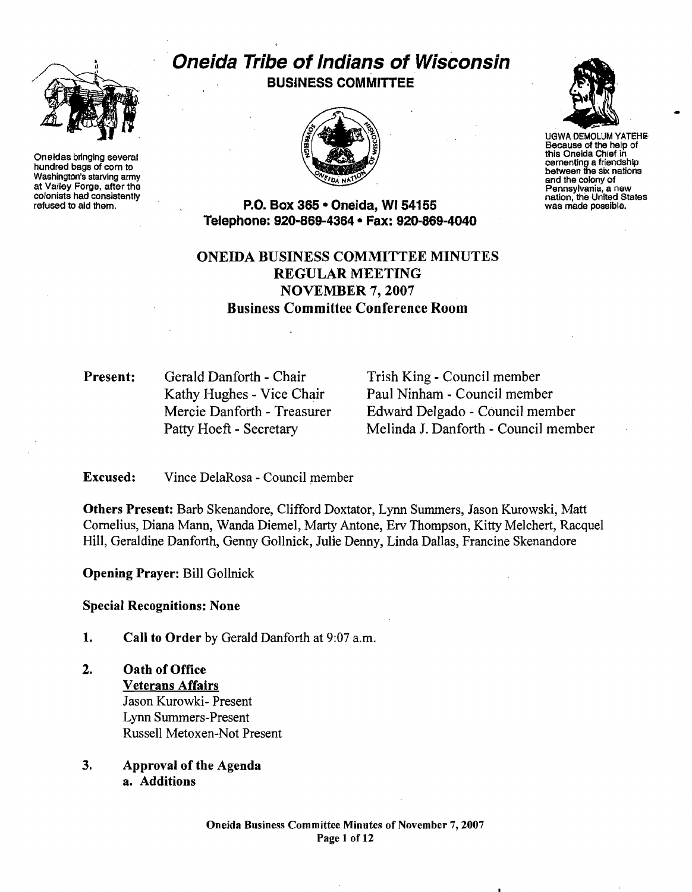

Oneidas bringing several cementing a friendship hundred bags of corn to between the six national cementing a friendship hundred bags of corn to between the six nations washington's starving army and the colony of the six n Washington's starving army<br>at Valley Forge, after the<br>colonists had consistently<br>refused to ald them.<br>**P.O. Box 365 • Oneida. WI 54155** was made possible.<br>was made possible.

# **Oneida Tribe of Indians of Wisconsin** / BUSINESS COMMITTEE





UGWA DEMOLUM YATEHe Because of the help of<br>this Oneida Chief in

P.O. Box 365 • Oneida, WI 54155 Telephone: 920-869-4364 • Fax: 920-869-4040

# ONEIDA BUSINESS COMMITTEE MINUTES REGULAR MEETING NOVEMBER 7, 2007 Business Committee Conference Room

**Present:** Gerald Danforth - Chair Trish King - Council member

Kathy Hughes - Vice Chair Paul Ninham - Council member Mercie Danforth - Treasurer Edward Delgado - Council member Patty Hoeft - Secretary Melinda J. Danforth - Council member

Excused: Vince DelaRosa - Council member

Others Present: Barb Skenandore, Clifford Doxtator, Lynn Summers, Jason Kurowski, Matt Cornelius, Diana Mann, Wanda Diemel, Marty Antone, Erv Thompson, Kitty Melchert, Racquel Hill, Geraldine Danforth, Genny Gollnick, Julie Denny, Linda Dallas, Francine Skenandore

Opening Prayer: Bill Gollnick

Special Recognitions: None

- 1. Call to Order by Gerald Danforth at 9:07 a.m.
- 2. Oath of Office Veterans Affairs Jason Kurowki- Present Lynn Summers-Present Russell Metoxen-Not Present
- 3. Approval of the Agenda a. Additions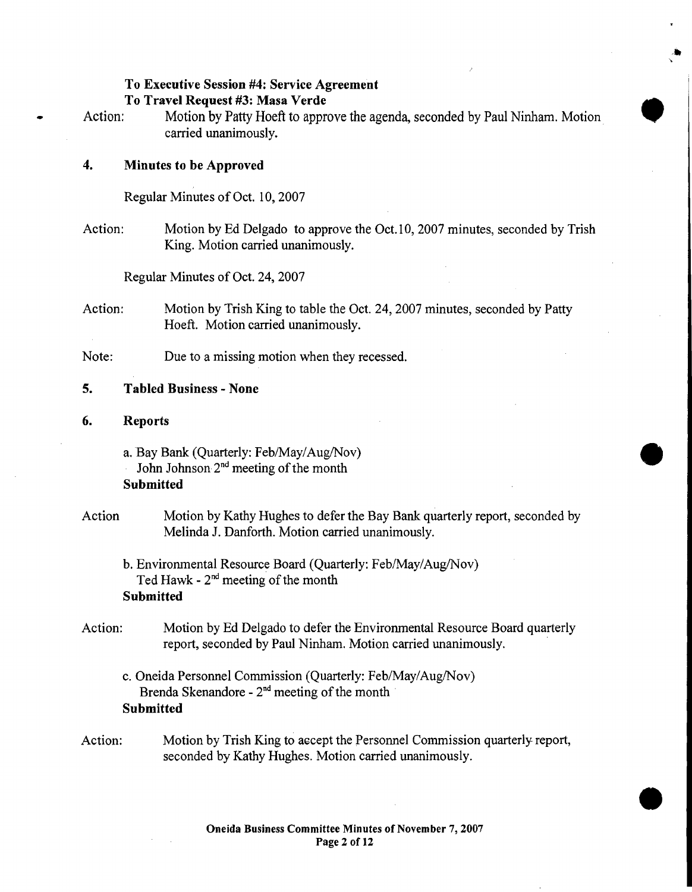#### To Executive Session #4: Service Agreement

#### To Travel Request #3: Masa Verde

• Action: Motion by Patty Hoeft to approve the agenda, seconded by Paul Ninham. Motion cutive Session #4: Service Agreement<br>vel Request #3: Masa Verde<br>Motion by Patty Hoeft to approve the agenda, seconded by Paul Ninham. Motion<br>carried unanimously.

## 4. Minutes to be Approved

Regular Minutes of Oct. lO, 2007

Action: Motion by Ed Delgado to approve the Oct. 10, 2007 minutes, seconded by Trish King. Motion carried unanimously.

Regular Minutes of Oct. 24, 2007

- Action: Motion by Trish King to table the Oct. 24, 2007 minutes, seconded by Patty Hoeft. Motion carried unanimously.
- Note: Due to a missing motion when they recessed.

## 5. Tabled Business - None

- 6. Reports
	- a. Bay Bank (Quarterly: Feb/May/Aug/Nov)  $\bullet$
	- John Johnson 2<sup>nd</sup> meeting of the month
	- **Submitted**

# Action Motion by Kathy Hughes to defer the Bay Bank quarterly report, seconded by Melinda J. Danforth. Motion carried unanimously.

b. Environmental Resource Board (Quarterly: Feb/May/Aug/Nov) Ted Hawk -  $2<sup>nd</sup>$  meeting of the month **Submitted** 

- Action: Motion by Ed Delgado to defer the Environmental Resource Board quarterly report, seconded by Paul Ninham. Motion carried unanimously.
	- c. Oneida Personnel Commission (Quarterly: Feb/May/Aug/Nov) Brenda Skenandore -  $2<sup>nd</sup>$  meeting of the month **Submitted**
- Action: Motion by Trish King to accept the Personnel Commission quarterly report, seconded by Kathy Hughes. Motion carried unanimously.

**•**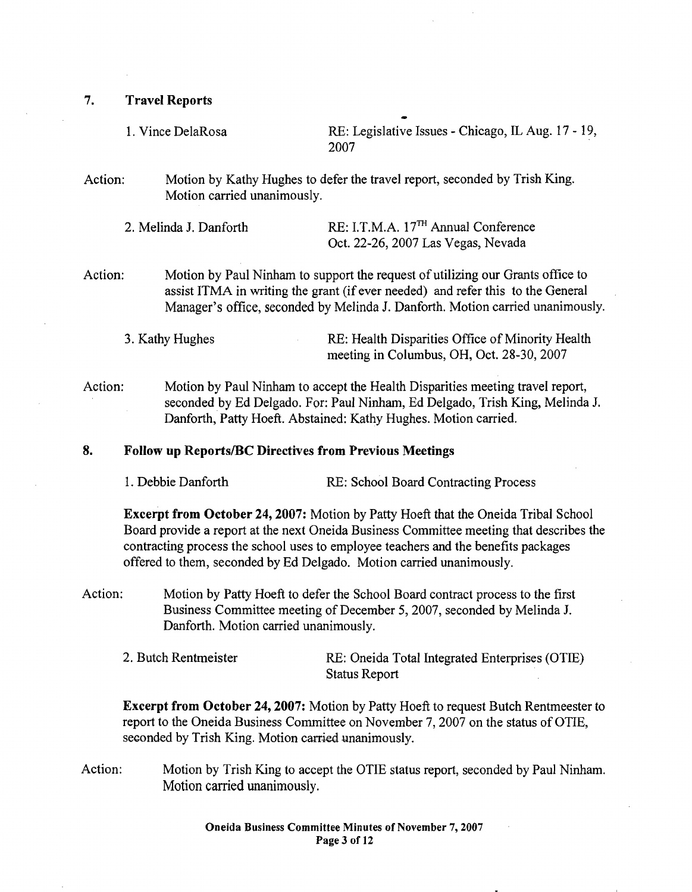7. Travel Reports

1. Vince DelaRosa RE: Legislative Issues - Chicago, IL Aug. 17 - 19, 2007

Action: Motion by Kathy Hughes to defer the travel report, seconded by Trish King. Motion carried unanimously.

| 2. Melinda J. Danforth | $RE: I.T.M.A. 17TH Annual Conference$ |
|------------------------|---------------------------------------|
|                        | Oct. 22-26, 2007 Las Vegas, Nevada    |

Action: Motion by Paul Ninham to support the request of utilizing our Grants office to assist ITMA in writing the grant (if ever needed) and refer this to the General Manager's office, seconded by Melinda 1. Danforth. Motion carried unanimously.

3. Kathy Hughes RE: Health Disparities Office of Minority Health meeting in Columbus, OH, Oct. 28-30, 2007

Action: Motion by Paul Ninham to accept the Health Disparities meeting travel report, seconded by Ed Delgado. For: Paul Ninham, Ed Delgado, Trish King, Melinda 1. Danforth, Patty Hoeft. Abstained: Kathy Hughes. Motion carried.

#### 8. Follow up Reports/BC Directives from Previous Meetings

1. Debbie Danforth RE: School Board Contracting Process

Excerpt from October 24, 2007: Motion by Patty Hoeft that the Oneida Tribal School Board provide a report at the next Oneida Business Committee meeting that describes the contracting process the school uses to employee teachers and the benefits packages offered to them, seconded by Ed Delgado. Motion carried unanimously.

- Action: Motion by Patty Hoeft to defer the School Board contract process to the first Business Committee meeting of December 5, 2007, seconded by Melinda 1. Danforth. Motion carried unanimously.
	- 2. Butch Rentmeister RE: Oneida Total Integrated Enterprises (OTIE) Status Report

Excerpt from October 24, 2007: Motion by Patty Hoeft to request Butch Rentmeester to report to the Oneida Business Committee on November 7, 2007 on the status of OTIE, seconded by Trish King. Motion carried unanimously.

Action: Motion by Trish King to accept the OTIE status report, seconded by Paul Ninham. Motion carried unanimously.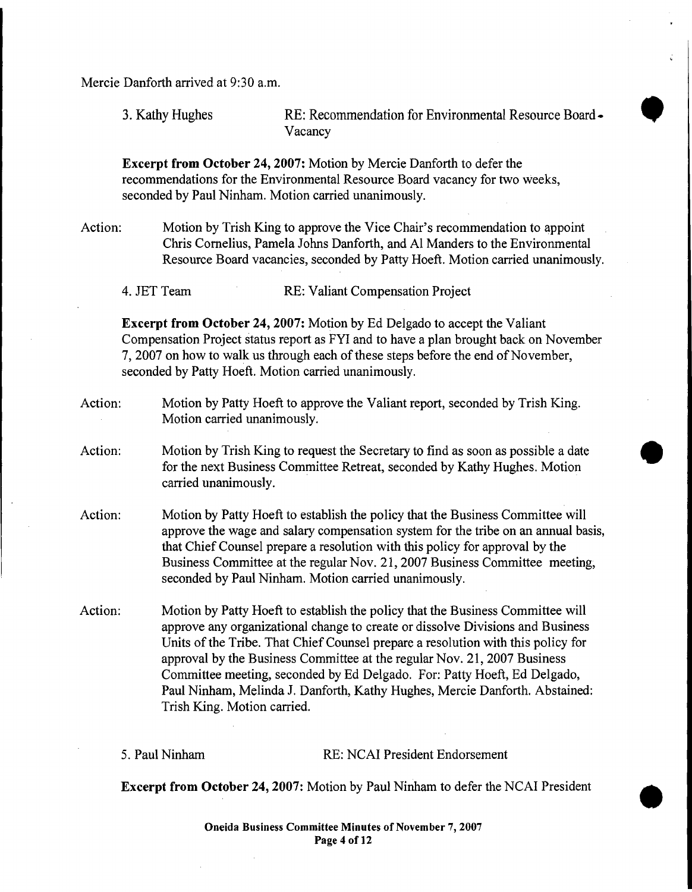Mercie Danforth arrived at 9:30 a.m.

3. Kathy Hughes **RE: Recommendation for Environmental Resource Board.** RE: Recommendation for Environmental Resource Board - Vacancy

Excerpt from October 24, 2007: Motion by Mercie Danforth to defer the recommendations for the Environmental Resource Board vacancy for two weeks, seconded by Paul Ninham. Motion carried unanimously.

Action: Motion by Trish King to approve the Vice Chair's recommendation to appoint Chris Cornelius, Pamela Johns Danforth, and Al Manders to the Environmental Resource Board vacancies, seconded by Patty Hoeft. Motion carried unanimously.

4. JET Team RE: Valiant Compensation Project

Excerpt from October 24,2007: Motion by Ed Delgado to accept the Valiant Compensation Project status report as FYI and to have a plan brought back on November 7, 2007 on how to walk us through each of these steps before the end of November, seconded by Patty Hoeft. Motion carried unanimously.

- Action: Motion by Patty Hoeft to approve the Valiant report, seconded by Trish King. Motion carried unanimously.
- Action: Motion by Trish King to request the Secretary to find as soon as possible a date for the next carried unanimously. Frish King to request the Secretary to find as soon as possible a date<br>Business Committee Retreat, seconded by Kathy Hughes. Motion imously.
- Action: Motion by Patty Hoeft to establish the policy that the Business Committee will approve the wage and salary compensation system for the tribe on an annual basis, that Chief Counsel prepare a resolution with this policy for approval by the Business Committee at the regular Nov. 21,2007 Business Committee meeting, seconded by Paul Ninham. Motion carried unanimously.
- Action: Motion by Patty Hoeft to establish the policy that the Business Committee will approve any organizational change to create or dissolve Divisions and Business Units of the Tribe. That Chief Counsel prepare a resolution with this policy for approval by the Business Committee at the regular Nov. 21, 2007 Business Committee meeting, seconded by Ed Delgado. For: Patty Hoeft, Ed Delgado, Paul Ninham, Melinda 1. Danforth, Kathy Hughes, Mercie Danforth. Abstained: Trish King. Motion carried.

5. Paul Ninham RE: NCAI President Endorsement

•

Excerpt from October 24, 2007: Motion by Paul Ninham to defer the NCAI President

Oneida Business Committee Minutes of November 7, 2007 Page 4 of 12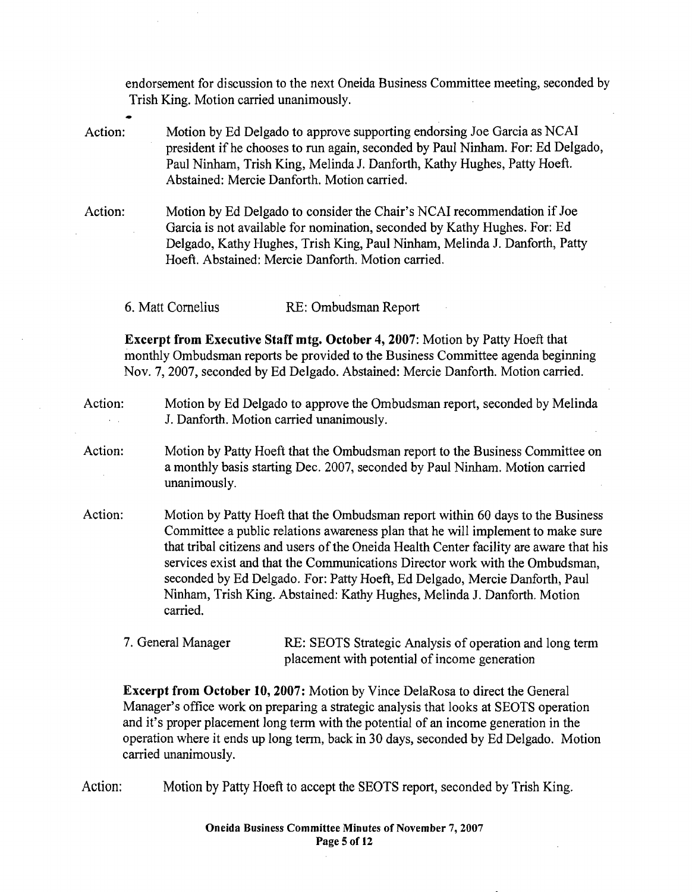endorsement for discussion to the next Oneida Business Committee meeting, seconded by Trish King. Motion carried unanimously.

Action: Motion by Ed Delgado to approve supporting endorsing Joe Garcia as NCAl president if he chooses to run again, seconded by Paul Ninham. For: Ed Delgado, Paul Ninham, Trish King, Melinda 1. Danforth, Kathy Hughes, Patty Hoeft. Abstained: Mercie Danforth. Motion carried.

Action: Motion by Ed Delgado to consider the Chair's NCAl recommendation if Joe Garcia is not available for nomination, seconded by Kathy Hughes. For: Ed Delgado, Kathy Hughes, Trish King, Paul Ninham, Melinda J. Danforth, Patty Hoeft. Abstained: Mercie Danforth. Motion carried.

6. Matt Cornelius RE: Ombudsman Report

Excerpt from Executive Staff mtg. October 4,2007: Motion by Patty Hoeft that monthly Ombudsman reports be provided to the Business Committee agenda beginning Nov. 7,2007, seconded by Ed Delgado. Abstained: Mercie Danforth. Motion carried.

# Action: Motion by Ed Delgado to approve the Ombudsman report, seconded by Melinda J. Danforth. Motion carried unanimously.

- Action: Motion by Patty Hoeft that the Ombudsman report to the Business Committee on a monthly basis starting Dec. 2007, seconded by Paul Ninham. Motion carried unanimously.
- Action: Motion by Patty Hoeft that the Ombudsman report within 60 days to the Business Committee a public relations awareness plan that he will implement to make sure that tribal citizens and users of the Oneida Health Center facility are aware that his services exist and that the Communications Director work with the Ombudsman, seconded by Ed Delgado. For: Patty Hoeft, Ed Delgado, Mercie Danforth, Paul Ninham, Trish King. Abstained: Kathy Hughes, Melinda J. Danforth. Motion carried.

# 7. General Manager RE: SEOTS Strategic Analysis of operation and long term placement with potential of income generation

Excerpt from October 10, 2007: Motion by Vince DelaRosa to direct the General Manager's office work on preparing a strategic analysis that looks at SEOTS operation and it's proper placement long term with the potential of an income generation in the operation where it ends up long term, back in 30 days, seconded by Ed Delgado. Motion carried unanimously.

Action: Motion by Patty Hoeft to accept the SEOTS report, seconded by Trish King.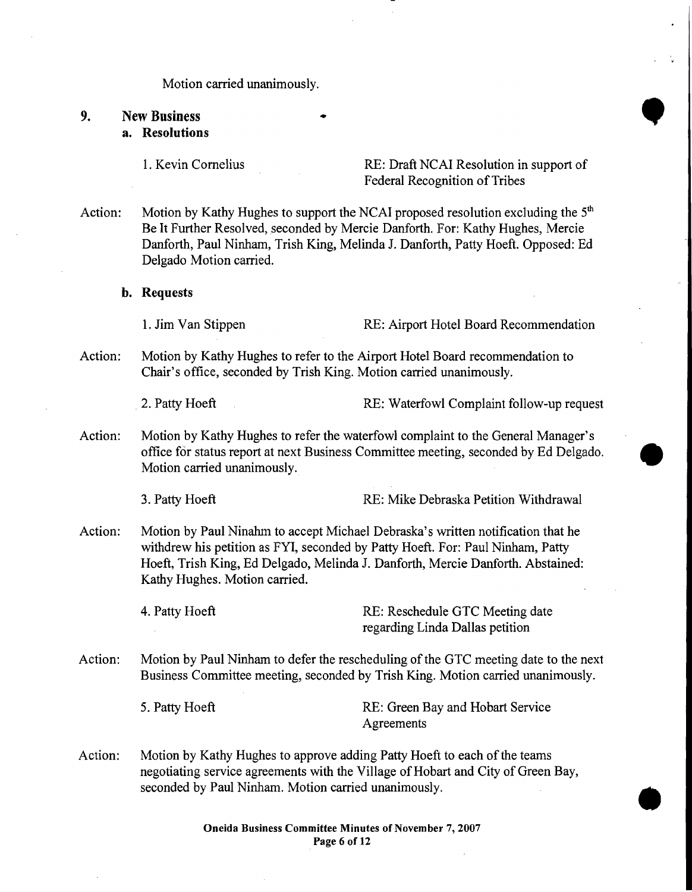Motion carried unanimously.

# 9. New Business<br>a. Resolutions Motion carried unanimously.<br>
New Business<br>
a. Resolutions<br>  $\begin{array}{ccc}\n\bullet & \bullet & \bullet \\
\bullet & \bullet & \bullet & \bullet\n\end{array}$

1. Kevin Cornelius RE: Draft NCAI Resolution in support of Federal Recognition of Tribes

Action: Motion by Kathy Hughes to support the NCAI proposed resolution excluding the  $5<sup>th</sup>$ Be It Further Resolved, seconded by Mercie Danforth. For: Kathy Hughes, Mercie Danforth, Paul Ninham, Trish King, Melinda 1. Danforth, Patty Hoeft. Opposed: Ed Delgado Motion carried.

b. Requests

1. Jim Van Stippen RE: Airport Hotel Board Recommendation

Action: Motion by Kathy Hughes to refer to the Airport Hotel Board recommendation to Chair's office, seconded by Trish King. Motion carried unanimously.

2. Patty Hoeft **RE:** Waterfowl Complaint follow-up request

Action: Motion by Kathy Hughes to refer the waterfowl complaint to the General Manager's office for status report at next Business Committee meeting, seconded by Ed Delgado. • Motion carried unanimously.

3. Patty Hoeft **RE:** Mike Debraska Petition Withdrawal

Action: Motion by Paul Ninahm to accept Michael Debraska's written notification that he withdrew his petition as FYI, seconded by Patty Hoeft. For: Paul Ninham, Patty Hoeft, Trish King, Ed Delgado, Melinda 1. Danforth, Mercie Danforth. Abstained: Kathy Hughes. Motion carried.

4. Patty Hoeft **RE: Reschedule GTC Meeting date** regarding Linda Dallas petition

- Action: Motion by Paul Ninham to defer the rescheduling of the GTC meeting date to the next Business Committee meeting, seconded by Trish King. Motion carried unanimously.
	- 5. Patty Hoeft RE: Green Bay and Hobart Service Agreements
- Action: Motion by Kathy Hughes to approve adding Patty Hoeft to each of the teams negotiating service agreements with the Village of Hobart and City of Green Bay,<br>
seconded by Paul Ninham. Motion carried unanimously.<br>
Oneida Business Committee Minutes of November 7, 2007<br>
Page 6 of 12 seconded by Paul Ninham. Motion carried unanimously.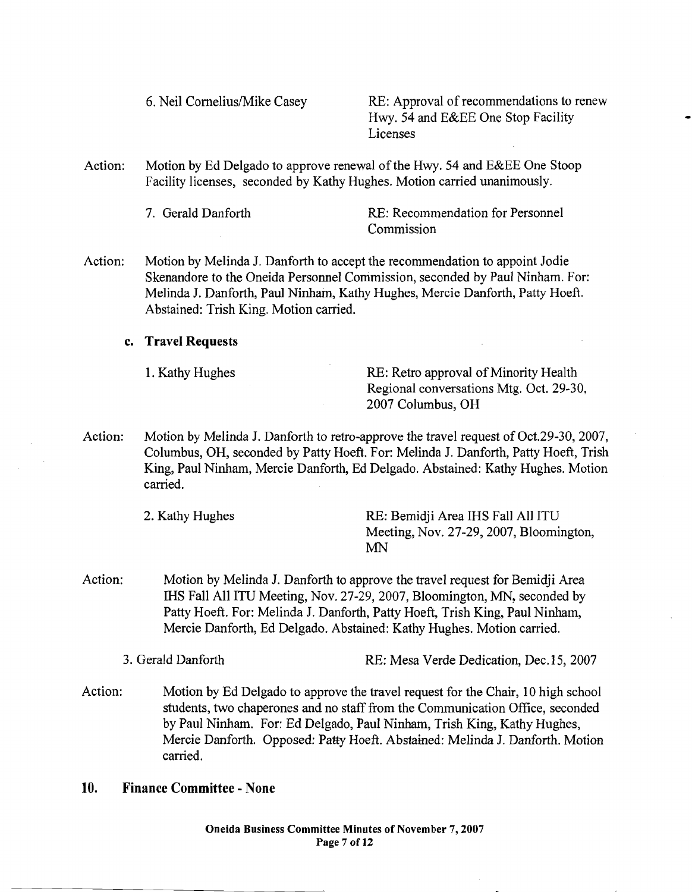6. Neil Comelius/Mike Casey RE: Approval of recommendations to renew Hwy. 54 and E&EE One Stop Facility Licenses

Action: Motion by Ed Delgado to approve renewal of the Hwy. 54 and E&EE One Stoop Facility licenses, seconded by Kathy Hughes. Motion carried unanimously.

7. Gerald Danforth RE: Recommendation for Personnel Commission

Action: Motion by Melinda J. Danforth to accept the recommendation to appoint Jodie Skenandore to the Oneida Personnel Commission, seconded by Paul Ninham. For: Melinda J. Danforth, Paul Ninham, Kathy Hughes, Mercie Danforth, Patty Hoeft. Abstained: Irish King. Motion carried.

#### c. Travel Requests

1. Kathy Hughes RE: Retro approval of Minority Health Regional conversations Mtg. Oct. 29-30, 2007 Columbus, OH

Action: Motion by Melinda J. Danforth to retro-approve the travel request of Oct.29-30, 2007, Columbus, OH, seconded by Patty Hoeft. For: Melinda 1. Danforth, Patty Hoeft, Trish King, Paul Ninham, Mercie Danforth, Ed Delgado. Abstained: Kathy Hughes. Motion carried.

2. Kathy Hughes RE: Bemidji Area IHS Fall All ITU Meeting, Nov. 27-29, 2007, Bloomington, MN

Action: Motion by Melinda J. Danforth to approve the travel request for Bemidji Area IHS Fall All lTV Meeting, Nov. 27-29,2007, Bloomington, MN, seconded by Patty Hoeft. For: Melinda 1. Danforth, Patty Hoeft, Trish King, Paul Ninham, Mercie Danforth, Ed Delgado. Abstained: Kathy Hughes. Motion carried.

3. Gerald Danforth RE: Mesa Verde Dedication, Dec.15, 2007

Action: Motion by Ed Delgado to approve the travel request for the Chair, 10 high school students, two chaperones and no staff from the Communication Office, seconded by Paul Ninham. For: Ed Delgado, Paul Ninham, Trish King, Kathy Hughes, Mercie Danforth. Opposed: Patty Hoeft. Abstained: Melinda 1. Danforth. Motion carried.

# 10. Finance Committee - None

Oneida Business Committee Minutes of November 7, 2007 Page 7 of 12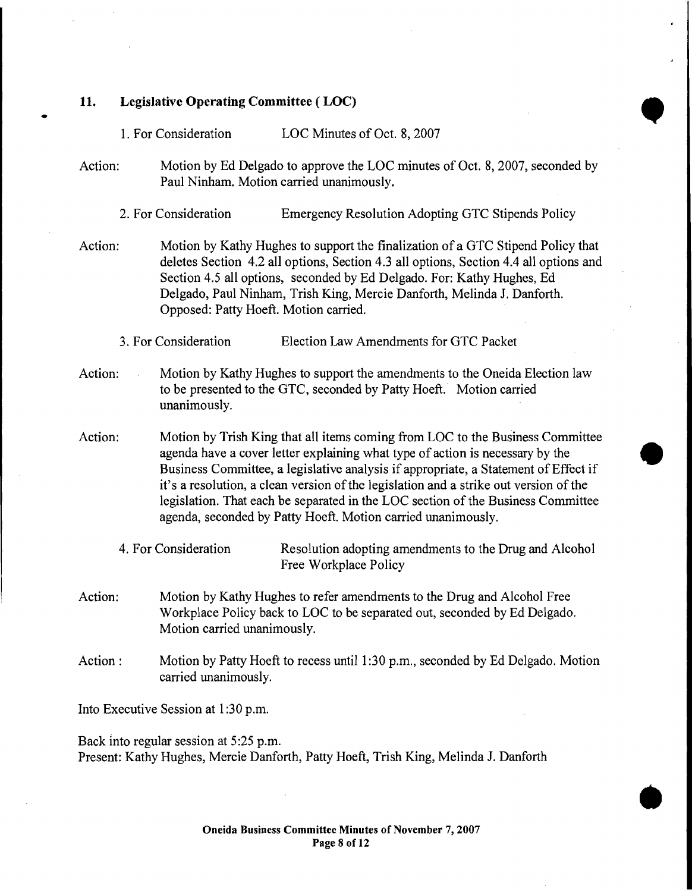11. Legislative Operating Committee ( LOC)

•

Legislative Operating Committee (LOC)<br>1. For Consideration LOC Minutes of Oct. 8, 2007

Action: Motion by Ed Delgado to approve the LOC minutes of Oct. 8, 2007, seconded by Paul Ninham. Motion carried unanimously.

2. For Consideration Emergency Resolution Adopting GTC Stipends Policy

- Action: Motion by Kathy Hughes to support the finalization of a GTC Stipend Policy that deletes Section 4.2 all options, Section 4.3 all options, Section 4.4 all options and Section 4.5 all options, seconded by Ed Delgado. For: Kathy Hughes, Ed Delgado, Paul Ninham, Trish King, Mercie Danforth, Melinda J. Danforth. Opposed: Patty Hoeft. Motion carried.
	- 3. For Consideration Election Law Amendments for GTC Packet
- Action: Motion by Kathy Hughes to support the amendments to the Oneida Election law to be presented to the GTC, seconded by Patty Hoeft. Motion carried unanimously.
- Action: Motion by Trish King that all items coming from LOC to the Business Committee agenda have a cover letter explaining what type of action is necessary by the Business Committee, a legislative analysis if appropriate, a Statement ofEffect it's a resolution, a clean version of the legislation and a strike out version of the  $\begin{array}{c}\n\text{tree} \\
\text{if}\n\end{array}$ legislation. That each be separated in the LOC section of the Business Committee agenda, seconded by Patty Hoeft. Motion carried unanimously.
	- 4. For Consideration Resolution adopting amendments to the Drug and Alcohol Free Workplace Policy
- Action: Motion by Kathy Hughes to refer amendments to the Drug and Alcohol Free Workplace Policy back to LOC to be separated out, seconded by Ed Delgado. Motion carried unanimously.
- Action: Motion by Patty Hoeft to recess until 1:30 p.m., seconded by Ed Delgado. Motion carried unanimously.

Into Executive Session at 1:30 p.m.

Back into regular session at 5:25 p.m. Present: Kathy Hughes, Mercie Danforth, Patty Hoeft, Trish King, Melinda J. Danforth

•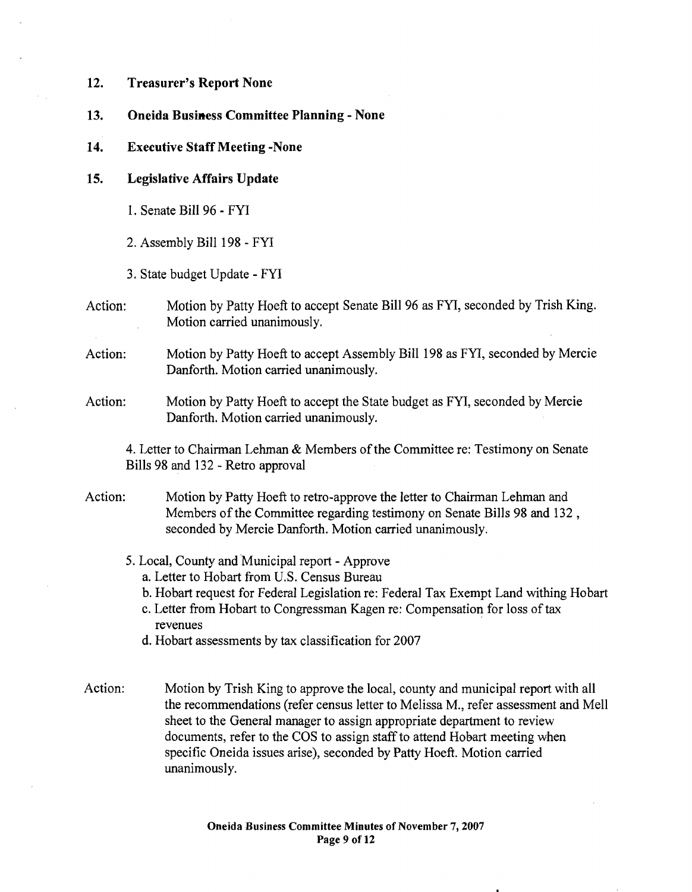#### 12. Treasurer's Report None

- 13. Oneida Business Committee Planning None
- 14. Executive Staff Meeting -None

#### 15. Legislative Affairs Update

- 1. Senate Bill 96 FYI
- 2. Assembly Bill 198 FYI
- 3. State budget Update FYI
- Action: Motion by Patty Hoeft to accept Senate Bill 96 as FYI, seconded by Trish King. Motion carried unanimously.
- Action: Motion by Patty Hoeft to accept Assembly Bill 198 as FYI, seconded by Mercie Danforth. Motion carried unanimously.
- Action: Motion by Patty Hoeft to accept the State budget as FYI, seconded by Mercie Danforth. Motion carried unanimously.

4. Letter to Chairman Lehman & Members ofthe Committee re: Testimony on Senate Bills 98 and 132 - Retro approval

- Action: Motion by Patty Hoeft to retro-approve the letter to Chairman Lehman and Members of the Committee regarding testimony on Senate Bills 98 and 132. seconded by Mercie Danforth. Motion carried unanimously.
	- 5. Local, County and Municipal report Approve
		- a. Letter to Hobart from U.S. Census Bureau
		- b. Hobart request for Federal Legislation re: Federal Tax Exempt Land withing Hobart
		- c. Letter from Hobart to Congressman Kagen re: Compensation for loss of tax revenues
		- d. Hobart assessments by tax classification for 2007
- Action: Motion by Trish King to approve the local, county and municipal report with all the recommendations (refer census letter to Melissa M., refer assessment and Mell sheet to the General manager to assign appropriate department to review documents, refer to the COS to assign staff to attend Hobart meeting when specific Oneida issues arise), seconded by Patty Hoeft. Motion carried unanimously.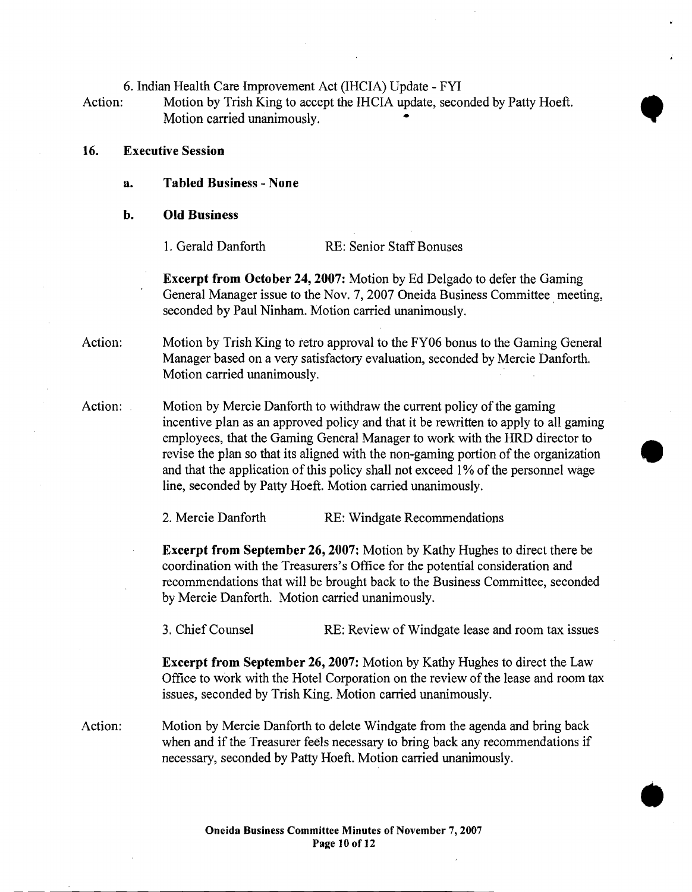6. Indian Health Care Improvement Act (IHCIA) Update - FYI

Action: Motion by Trish King to accept the IHCIA update, seconded by Patty Hoeft. Motion carried unanimously. •

- 16. Executive Session
	- a. Tabled Business None
	- b. Old Business

1. Gerald Danforth RE: Senior Staff Bonuses

Excerpt from October 24, 2007: Motion by Ed Delgado to defer the Gaming General Manager issue to the Nov. 7, 2007 Oneida Business Committee, meeting, seconded by Paul Ninham. Motion carried unanimously.

•

•

- Action: Motion by Trish King to retro approval to the FY06 bonus to the Gaming General Manager based on a very satisfactory evaluation, seconded by Mercie Danforth. Motion carried unanimously.
- Action: Motion by Mercie Danforth to withdraw the current policy of the gaming incentive plan as an approved policy and that it be rewritten to apply to all gaming employees, that the Gaming General Manager to work with the HRD director to revise the plan so that its aligned with the non-gaming portion of the organization and that the application of this policy shall not exceed 1% of the personnel wage incentive plan as an approved policy and that it be rewritten to apply to all gaming<br>employees, that the Gaming General Manager to work with the HRD director to<br>revise the plan so that its aligned with the non-gaming porti

2. Mercie Danforth RE: Windgate Recommendations

Excerpt from September 26, 2007: Motion by Kathy Hughes to direct there be coordination with the Treasurers's Office for the potential consideration and recommendations that will be brought back to the Business Committee, seconded by Mercie Danforth. Motion carried unanimously.

3. Chief Counsel RE: Review of Windgate lease and room tax issues

Excerpt from September 26,2007: Motion by Kathy Hughes to direct the Law Office to work with the Hotel Corporation on the review ofthe lease and room tax issues, seconded by Trish King. Motion carried unanimously.

Action: Motion by Mercie Danforth to delete Windgate from the agenda and bring back when and if the Treasurer feels necessary to bring back any recommendations if necessary, seconded by Patty Hoeft. Motion carried unanimously.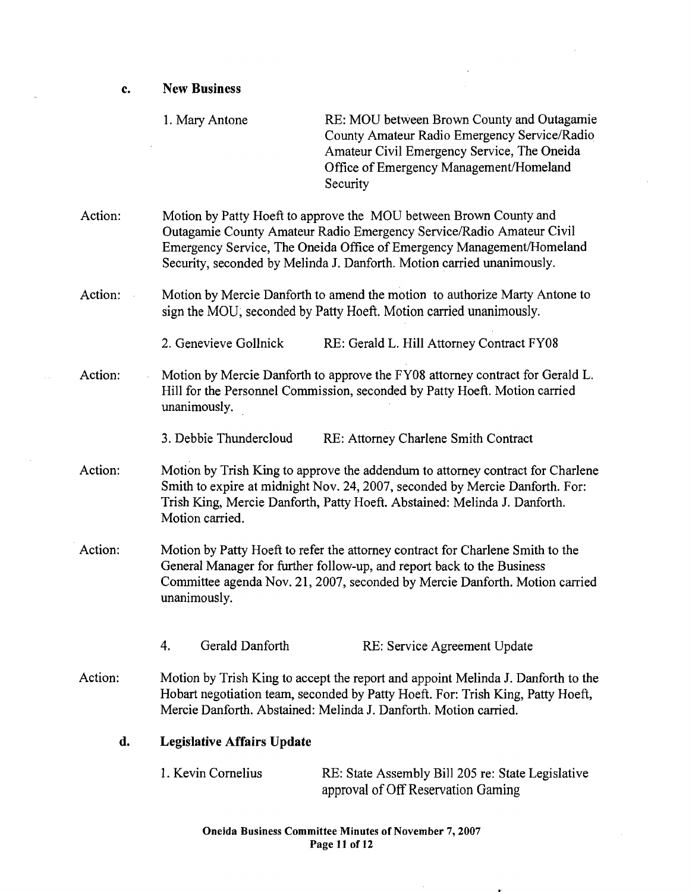1. Mary Antone RE: MOU between Brown County and Outagamie County Amateur Radio Emergency Service/Radio Amateur Civil Emergency Service, The Oneida Office of Emergency Management/Homeland Security Action: Motion by Patty Hoeft to approve the MOU between Brown County and Outagamie County Amateur Radio Emergency ServicelRadio Amateur Civil Emergency Service, The Oneida Office of Emergency Management/Homeland Security, seconded by Melinda J. Danforth. Motion carried unanimously. Action: Motion by Mercie Danforth to amend the motion to authorize Marty Antone to sign the MOD; seconded by Patty Hoeft. Motion carried unanimously. 2. Genevieve Gollnick RE: Gerald L. Hill Attorney Contract FY08 Action: Motion by Mercie Danforth to approve the FY08 attorney contract for Gerald L. Hill for the Personnel Commission, seconded by Patty Hoeft. Motion carried unanimously. 3. Debbie Thundercloud RE: Attorney Charlene Smith Contract Action: Motion by Trish King to approve the addendum to attorney contract for Charlene Smith to expire at midnight Nov. 24,2007, seconded by Mercie Danforth. For: Trish King, Mercie Danforth, Patty Hoeft. Abstained: Melinda J. Danforth. Motion carried. Action: Motion by Patty Hoeft to refer the attorney contract for Charlene Smith to the General Manager for further follow-up, and report back to the Business Committee agenda Nov. 21, 2007, seconded by Mercie Danforth. Motion carried unanimously. 4. Gerald Danforth RE: Service Agreement Update Action: Motion by Trish King to accept the report and appoint Melinda J. Danforth to the Hobart negotiation team, seconded by Patty Hoeft. For: Trish King, Patty Hoeft, Mercie Danforth. Abstained: Melinda J. Danforth. Motion carried. d. Legislative Affairs Update 1. Kevin Cornelius RE: State Assembly Bill 205 re: State Legislative approval of Off Reservation Gaming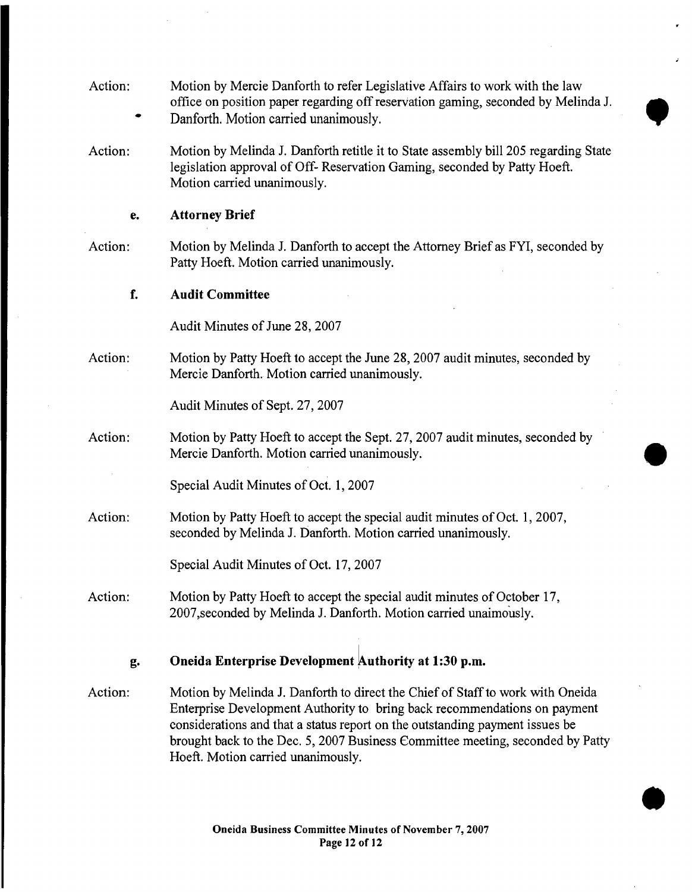| Action: | Motion by Mercie Danforth to refer Legislative Affairs to work with the law<br>office on position paper regarding off reservation gaming, seconded by Melinda J.<br>Danforth. Motion carried unanimously.                                                                                                                     |
|---------|-------------------------------------------------------------------------------------------------------------------------------------------------------------------------------------------------------------------------------------------------------------------------------------------------------------------------------|
| Action: | Motion by Melinda J. Danforth retitle it to State assembly bill 205 regarding State<br>legislation approval of Off-Reservation Gaming, seconded by Patty Hoeft.<br>Motion carried unanimously.                                                                                                                                |
| е.      | <b>Attorney Brief</b>                                                                                                                                                                                                                                                                                                         |
| Action: | Motion by Melinda J. Danforth to accept the Attorney Brief as FYI, seconded by<br>Patty Hoeft. Motion carried unanimously.                                                                                                                                                                                                    |
| f.      | <b>Audit Committee</b>                                                                                                                                                                                                                                                                                                        |
|         | Audit Minutes of June 28, 2007                                                                                                                                                                                                                                                                                                |
| Action: | Motion by Patty Hoeft to accept the June 28, 2007 audit minutes, seconded by<br>Mercie Danforth. Motion carried unanimously.                                                                                                                                                                                                  |
|         | Audit Minutes of Sept. 27, 2007                                                                                                                                                                                                                                                                                               |
| Action: | Motion by Patty Hoeft to accept the Sept. 27, 2007 audit minutes, seconded by<br>Mercie Danforth. Motion carried unanimously.                                                                                                                                                                                                 |
|         | Special Audit Minutes of Oct. 1, 2007                                                                                                                                                                                                                                                                                         |
| Action: | Motion by Patty Hoeft to accept the special audit minutes of Oct. 1, 2007,<br>seconded by Melinda J. Danforth. Motion carried unanimously.                                                                                                                                                                                    |
|         | Special Audit Minutes of Oct. 17, 2007                                                                                                                                                                                                                                                                                        |
| Action: | Motion by Patty Hoeft to accept the special audit minutes of October 17,<br>2007, seconded by Melinda J. Danforth. Motion carried unaimously.                                                                                                                                                                                 |
| g.      | Oneida Enterprise Development Authority at 1:30 p.m.                                                                                                                                                                                                                                                                          |
|         |                                                                                                                                                                                                                                                                                                                               |
| Action: | Motion by Melinda J. Danforth to direct the Chief of Staff to work with Oneida<br>Enterprise Development Authority to bring back recommendations on payment<br>considerations and that a status report on the outstanding payment issues be<br>brought back to the Dec. 5, 2007 Business Committee meeting, seconded by Patty |

**•** 

Hoeft. Motion carried unanimously.